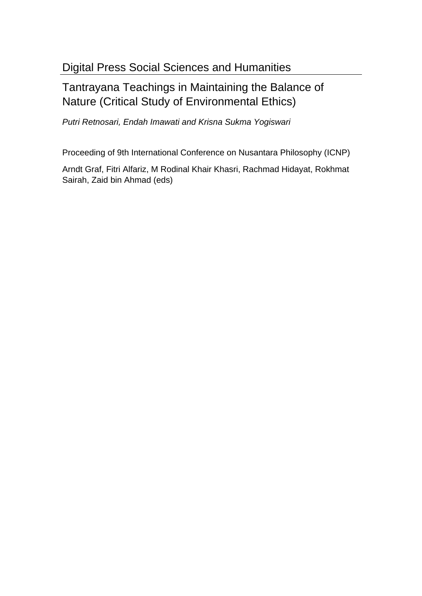# Tantrayana Teachings in Maintaining the Balance of Nature (Critical Study of Environmental Ethics)

Putri Retnosari, Endah Imawati and Krisna Sukma Yogiswari

Proceeding of 9th International Conference on Nusantara Philosophy (ICNP)

Arndt Graf, Fitri Alfariz, M Rodinal Khair Khasri, Rachmad Hidayat, Rokhmat Sairah, Zaid bin Ahmad (eds)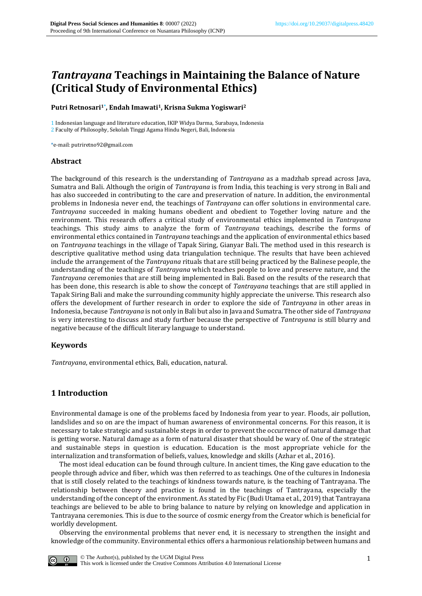## *Tantrayana* **Teachings in Maintaining the Balance of Nature (Critical Study of Environmental Ethics)**

#### **Putri Retnosari1\* , Endah Imawati1, Krisna Sukma Yogiswari<sup>2</sup>**

1 Indonesian language and literature education, IKIP Widya Darma, Surabaya, Indonesia 2 Faculty of Philosophy, Sekolah Tinggi Agama Hindu Negeri, Bali, Indonesia

\*e-mail: putriretno92@gmail.com

#### **Abstract**

The background of this research is the understanding of *Tantrayana* as a madzhab spread across Java, Sumatra and Bali. Although the origin of *Tantrayana* is from India, this teaching is very strong in Bali and has also succeeded in contributing to the care and preservation of nature. In addition, the environmental problems in Indonesia never end, the teachings of *Tantrayana* can offer solutions in environmental care. *Tantrayana* succeeded in making humans obedient and obedient to Together loving nature and the environment. This research offers a critical study of environmental ethics implemented in *Tantrayana* teachings. This study aims to analyze the form of *Tantrayana* teachings, describe the forms of environmental ethics contained in *Tantrayana* teachings and the application of environmental ethics based on *Tantrayana* teachings in the village of Tapak Siring, Gianyar Bali. The method used in this research is descriptive qualitative method using data triangulation technique. The results that have been achieved include the arrangement of the *Tantrayana* rituals that are still being practiced by the Balinese people, the understanding of the teachings of *Tantrayana* which teaches people to love and preserve nature, and the *Tantrayana* ceremonies that are still being implemented in Bali. Based on the results of the research that has been done, this research is able to show the concept of *Tantrayana* teachings that are still applied in Tapak Siring Bali and make the surrounding community highly appreciate the universe. This research also offers the development of further research in order to explore the side of *Tantrayana* in other areas in Indonesia, because *Tantrayana* is not only in Bali but also in Java and Sumatra. The other side of *Tantrayana* is very interesting to discuss and study further because the perspective of *Tantrayana* is still blurry and negative because of the difficult literary language to understand.

#### **Keywords**

*Tantrayana*, environmental ethics, Bali, education, natural.

### **1 Introduction**

Environmental damage is one of the problems faced by Indonesia from year to year. Floods, air pollution, landslides and so on are the impact of human awareness of environmental concerns. For this reason, it is necessary to take strategic and sustainable steps in order to prevent the occurrence of natural damage that is getting worse. Natural damage as a form of natural disaster that should be wary of. One of the strategic and sustainable steps in question is education. Education is the most appropriate vehicle for the internalization and transformation of beliefs, values, knowledge and skills (Azhar et al., 2016).

The most ideal education can be found through culture. In ancient times, the King gave education to the people through advice and fiber, which was then referred to as teachings. One of the cultures in Indonesia that is still closely related to the teachings of kindness towards nature, is the teaching of Tantrayana. The relationship between theory and practice is found in the teachings of Tantrayana, especially the understanding of the concept of the environment. As stated by Fic (Budi Utama et al., 2019) that Tantrayana teachings are believed to be able to bring balance to nature by relying on knowledge and application in Tantrayana ceremonies. This is due to the source of cosmic energy from the Creator which is beneficial for worldly development.

Observing the environmental problems that never end, it is necessary to strengthen the insight and knowledge of the community. Environmental ethics offers a harmonious relationship between humans and

[© The Author\(s\), published by the UGM Digital Press](https://creativecommons.org/licenses/by/4.0/) [This work is licensed under the Creative Commons Attribution 4.0 International License](https://creativecommons.org/licenses/by/4.0/)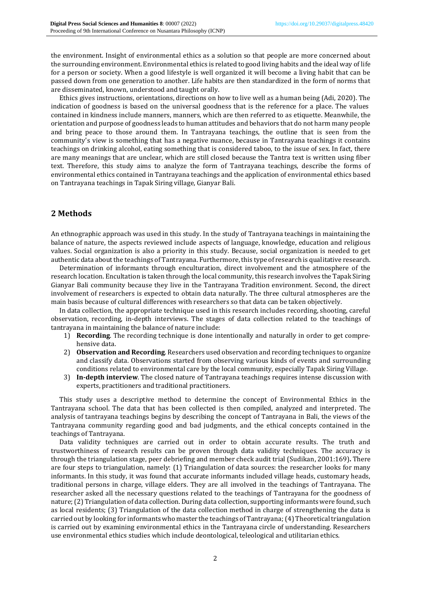the environment. Insight of environmental ethics as a solution so that people are more concerned about the surrounding environment. Environmental ethics is related to good living habits and the ideal way of life for a person or society. When a good lifestyle is well organized it will become a living habit that can be passed down from one generation to another. Life habits are then standardized in the form of norms that are disseminated, known, understood and taught orally.

Ethics gives instructions, orientations, directions on how to live well as a human being (Adi, 2020). The indication of goodness is based on the universal goodness that is the reference for a place. The values contained in kindness include manners, manners, which are then referred to as etiquette. Meanwhile, the orientation and purpose of goodness leads to human attitudes and behaviors that do not harm many people and bring peace to those around them. In Tantrayana teachings, the outline that is seen from the community's view is something that has a negative nuance, because in Tantrayana teachings it contains teachings on drinking alcohol, eating something that is considered taboo, to the issue of sex. In fact, there are many meanings that are unclear, which are still closed because the Tantra text is written using fiber text. Therefore, this study aims to analyze the form of Tantrayana teachings, describe the forms of environmental ethics contained in Tantrayana teachings and the application of environmental ethics based on Tantrayana teachings in Tapak Siring village, Gianyar Bali.

## **2 Methods**

An ethnographic approach was used in this study. In the study of Tantrayana teachings in maintaining the balance of nature, the aspects reviewed include aspects of language, knowledge, education and religious values. Social organization is also a priority in this study. Because, social organization is needed to get authentic data about the teachings of Tantrayana. Furthermore, this type of research is qualitative research.

Determination of informants through enculturation, direct involvement and the atmosphere of the research location. Encultation is taken through the local community, this research involves the Tapak Siring Gianyar Bali community because they live in the Tantrayana Tradition environment. Second, the direct involvement of researchers is expected to obtain data naturally. The three cultural atmospheres are the main basis because of cultural differences with researchers so that data can be taken objectively.

In data collection, the appropriate technique used in this research includes recording, shooting, careful observation, recording, in-depth interviews. The stages of data collection related to the teachings of tantrayana in maintaining the balance of nature include:

- 1) **Recording**. The recording technique is done intentionally and naturally in order to get comprehensive data.
- 2) **Observation and Recording**. Researchers used observation and recording techniques to organize and classify data. Observations started from observing various kinds of events and surrounding conditions related to environmental care by the local community, especially Tapak Siring Village.
- 3) **In-depth interview**. The closed nature of Tantrayana teachings requires intense discussion with experts, practitioners and traditional practitioners.

This study uses a descriptive method to determine the concept of Environmental Ethics in the Tantrayana school. The data that has been collected is then compiled, analyzed and interpreted. The analysis of tantrayana teachings begins by describing the concept of Tantrayana in Bali, the views of the Tantrayana community regarding good and bad judgments, and the ethical concepts contained in the teachings of Tantrayana.

Data validity techniques are carried out in order to obtain accurate results. The truth and trustworthiness of research results can be proven through data validity techniques. The accuracy is through the triangulation stage, peer debriefing and member check audit trial (Sudikan, 2001:169)**.** There are four steps to triangulation, namely: (1) Triangulation of data sources: the researcher looks for many informants. In this study, it was found that accurate informants included village heads, customary heads, traditional persons in charge, village elders. They are all involved in the teachings of Tantrayana. The researcher asked all the necessary questions related to the teachings of Tantrayana for the goodness of nature; (2) Triangulation of data collection. During data collection, supporting informants were found, such as local residents; (3) Triangulation of the data collection method in charge of strengthening the data is carried out by looking for informants who master the teachings of Tantrayana; (4) Theoretical triangulation is carried out by examining environmental ethics in the Tantrayana circle of understanding. Researchers use environmental ethics studies which include deontological, teleological and utilitarian ethics.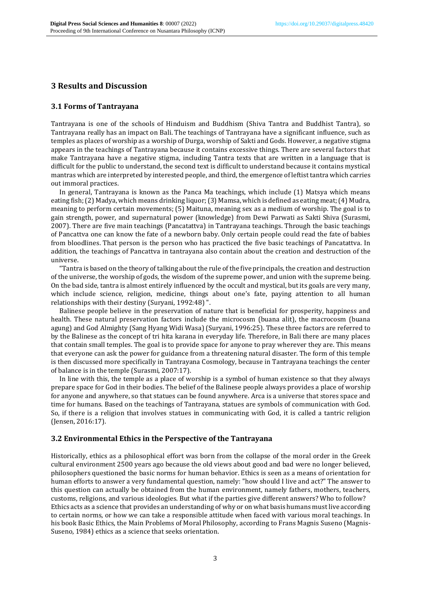## **3 Results and Discussion**

#### **3.1 Forms of Tantrayana**

Tantrayana is one of the schools of Hinduism and Buddhism (Shiva Tantra and Buddhist Tantra), so Tantrayana really has an impact on Bali. The teachings of Tantrayana have a significant influence, such as temples as places of worship as a worship of Durga, worship of Sakti and Gods. However, a negative stigma appears in the teachings of Tantrayana because it contains excessive things. There are several factors that make Tantrayana have a negative stigma, including Tantra texts that are written in a language that is difficult for the public to understand, the second text is difficult to understand because it contains mystical mantras which are interpreted by interested people, and third, the emergence of leftist tantra which carries out immoral practices.

In general, Tantrayana is known as the Panca Ma teachings, which include (1) Matsya which means eating fish; (2) Madya, which means drinking liquor; (3) Mamsa, which is defined as eating meat; (4) Mudra, meaning to perform certain movements; (5) Maituna, meaning sex as a medium of worship. The goal is to gain strength, power, and supernatural power (knowledge) from Dewi Parwati as Sakti Shiva (Surasmi, 2007). There are five main teachings (Pancatattva) in Tantrayana teachings. Through the basic teachings of Pancattva one can know the fate of a newborn baby. Only certain people could read the fate of babies from bloodlines. That person is the person who has practiced the five basic teachings of Pancatattva. In addition, the teachings of Pancattva in tantrayana also contain about the creation and destruction of the universe.

"Tantra is based on the theory of talking about the rule of the five principals, the creation and destruction of the universe, the worship of gods, the wisdom of the supreme power, and union with the supreme being. On the bad side, tantra is almost entirely influenced by the occult and mystical, but its goals are very many, which include science, religion, medicine, things about one's fate, paying attention to all human relationships with their destiny (Suryani, 1992:48) ".

Balinese people believe in the preservation of nature that is beneficial for prosperity, happiness and health. These natural preservation factors include the microcosm (buana alit), the macrocosm (buana agung) and God Almighty (Sang Hyang Widi Wasa) (Suryani, 1996:25). These three factors are referred to by the Balinese as the concept of tri hita karana in everyday life. Therefore, in Bali there are many places that contain small temples. The goal is to provide space for anyone to pray wherever they are. This means that everyone can ask the power for guidance from a threatening natural disaster. The form of this temple is then discussed more specifically in Tantrayana Cosmology, because in Tantrayana teachings the center of balance is in the temple (Surasmi, 2007:17).

In line with this, the temple as a place of worship is a symbol of human existence so that they always prepare space for God in their bodies. The belief of the Balinese people always provides a place of worship for anyone and anywhere, so that statues can be found anywhere. Arca is a universe that stores space and time for humans. Based on the teachings of Tantrayana, statues are symbols of communication with God. So, if there is a religion that involves statues in communicating with God, it is called a tantric religion (Jensen, 2016:17).

#### **3.2 Environmental Ethics in the Perspective of the Tantrayana**

Historically, ethics as a philosophical effort was born from the collapse of the moral order in the Greek cultural environment 2500 years ago because the old views about good and bad were no longer believed, philosophers questioned the basic norms for human behavior. Ethics is seen as a means of orientation for human efforts to answer a very fundamental question, namely: "how should I live and act?" The answer to this question can actually be obtained from the human environment, namely fathers, mothers, teachers, customs, religions, and various ideologies. But what if the parties give different answers? Who to follow? Ethics acts as a science that provides an understanding of why or on what basis humans must live according to certain norms, or how we can take a responsible attitude when faced with various moral teachings. In his book Basic Ethics, the Main Problems of Moral Philosophy, according to Frans Magnis Suseno (Magnis-Suseno, 1984) ethics as a science that seeks orientation.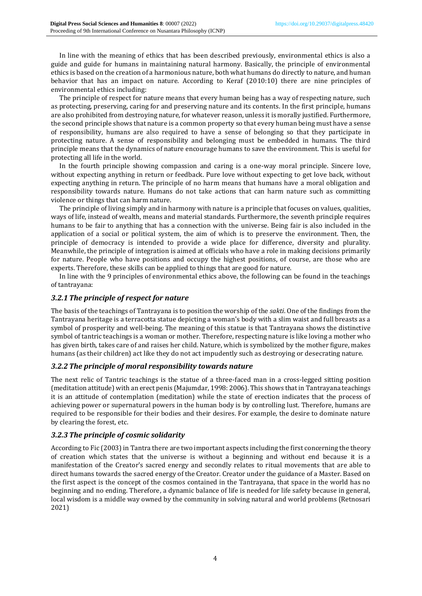In line with the meaning of ethics that has been described previously, environmental ethics is also a guide and guide for humans in maintaining natural harmony. Basically, the principle of environmental ethics is based on the creation of a harmonious nature, both what humans do directly to nature, and human behavior that has an impact on nature. According to Keraf (2010:10) there are nine principles of environmental ethics including:

The principle of respect for nature means that every human being has a way of respecting nature, such as protecting, preserving, caring for and preserving nature and its contents. In the first principle, humans are also prohibited from destroying nature, for whatever reason, unless it is morally justified. Furthermore, the second principle shows that nature is a common property so that every human being must have a sense of responsibility, humans are also required to have a sense of belonging so that they participate in protecting nature. A sense of responsibility and belonging must be embedded in humans. The third principle means that the dynamics of nature encourage humans to save the environment. This is useful for protecting all life in the world.

In the fourth principle showing compassion and caring is a one-way moral principle. Sincere love, without expecting anything in return or feedback. Pure love without expecting to get love back, without expecting anything in return. The principle of no harm means that humans have a moral obligation and responsibility towards nature. Humans do not take actions that can harm nature such as committing violence or things that can harm nature.

The principle of living simply and in harmony with nature is a principle that focuses on values, qualities, ways of life, instead of wealth, means and material standards. Furthermore, the seventh principle requires humans to be fair to anything that has a connection with the universe. Being fair is also included in the application of a social or political system, the aim of which is to preserve the environment. Then, the principle of democracy is intended to provide a wide place for difference, diversity and plurality. Meanwhile, the principle of integration is aimed at officials who have a role in making decisions primarily for nature. People who have positions and occupy the highest positions, of course, are those who are experts. Therefore, these skills can be applied to things that are good for nature.

In line with the 9 principles of environmental ethics above, the following can be found in the teachings of tantrayana:

#### *3.2.1The principle of respect for nature*

The basis of the teachings of Tantrayana is to position the worship of the *sakti*. One of the findings from the Tantrayana heritage is a terracotta statue depicting a woman's body with a slim waist and full breasts as a symbol of prosperity and well-being. The meaning of this statue is that Tantrayana shows the distinctive symbol of tantric teachings is a woman or mother. Therefore, respecting nature is like loving a mother who has given birth, takes care of and raises her child. Nature, which is symbolized by the mother figure, makes humans (as their children) act like they do not act impudently such as destroying or desecrating nature.

#### *3.2.2The principle of moral responsibility towards nature*

The next relic of Tantric teachings is the statue of a three-faced man in a cross-legged sitting position (meditation attitude) with an erect penis (Majumdar, 1998: 2006). This shows that in Tantrayana teachings it is an attitude of contemplation (meditation) while the state of erection indicates that the process of achieving power or supernatural powers in the human body is by controlling lust. Therefore, humans are required to be responsible for their bodies and their desires. For example, the desire to dominate nature by clearing the forest, etc.

### *3.2.3The principle of cosmic solidarity*

According to Fic (2003) in Tantra there are two important aspects including the first concerning the theory of creation which states that the universe is without a beginning and without end because it is a manifestation of the Creator's sacred energy and secondly relates to ritual movements that are able to direct humans towards the sacred energy of the Creator. Creator under the guidance of a Master. Based on the first aspect is the concept of the cosmos contained in the Tantrayana, that space in the world has no beginning and no ending. Therefore, a dynamic balance of life is needed for life safety because in general, local wisdom is a middle way owned by the community in solving natural and world problems (Retnosari 2021)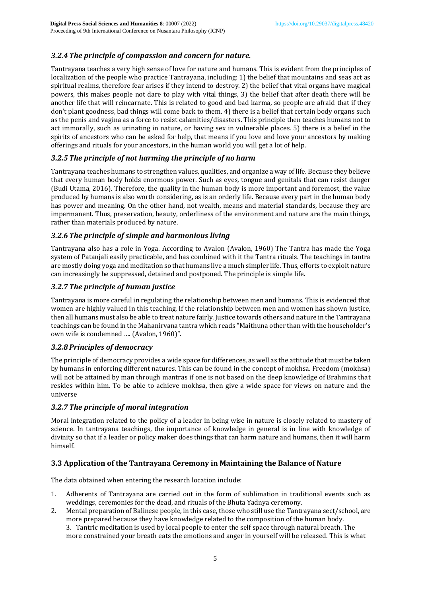## *3.2.4The principle of compassion and concern for nature.*

Tantrayana teaches a very high sense of love for nature and humans. This is evident from the principles of localization of the people who practice Tantrayana, including: 1) the belief that mountains and seas act as spiritual realms, therefore fear arises if they intend to destroy. 2) the belief that vital organs have magical powers, this makes people not dare to play with vital things, 3) the belief that after death there will be another life that will reincarnate. This is related to good and bad karma, so people are afraid that if they don't plant goodness, bad things will come back to them. 4) there is a belief that certain body organs such as the penis and vagina as a force to resist calamities/disasters. This principle then teaches humans not to act immorally, such as urinating in nature, or having sex in vulnerable places. 5) there is a belief in the spirits of ancestors who can be asked for help, that means if you love and love your ancestors by making offerings and rituals for your ancestors, in the human world you will get a lot of help.

## *3.2.5The principle of not harming the principle of no harm*

Tantrayana teaches humans to strengthen values, qualities, and organize a way of life. Because they believe that every human body holds enormous power. Such as eyes, tongue and genitals that can resist danger (Budi Utama, 2016). Therefore, the quality in the human body is more important and foremost, the value produced by humans is also worth considering, as is an orderly life. Because every part in the human body has power and meaning. On the other hand, not wealth, means and material standards, because they are impermanent. Thus, preservation, beauty, orderliness of the environment and nature are the main things, rather than materials produced by nature.

### *3.2.6The principle of simple and harmonious living*

Tantrayana also has a role in Yoga. According to Avalon (Avalon, 1960) The Tantra has made the Yoga system of Patanjali easily practicable, and has combined with it the Tantra rituals. The teachings in tantra are mostly doing yoga and meditation so that humans live a much simpler life. Thus, efforts to exploit nature can increasingly be suppressed, detained and postponed. The principle is simple life.

## *3.2.7The principle of human justice*

Tantrayana is more careful in regulating the relationship between men and humans. This is evidenced that women are highly valued in this teaching. If the relationship between men and women has shown justice, then all humans must also be able to treat nature fairly. Justice towards others and nature in the Tantrayana teachings can be found in the Mahanirvana tantra which reads "Maithuna other than with the householder's own wife is condemned …. (Avalon, 1960)".

### *3.2.8Principles of democracy*

The principle of democracy provides a wide space for differences, as well as the attitude that must be taken by humans in enforcing different natures. This can be found in the concept of mokhsa. Freedom (mokhsa) will not be attained by man through mantras if one is not based on the deep knowledge of Brahmins that resides within him. To be able to achieve mokhsa, then give a wide space for views on nature and the universe

### *3.2.7The principle of moral integration*

Moral integration related to the policy of a leader in being wise in nature is closely related to mastery of science. In tantrayana teachings, the importance of knowledge in general is in line with knowledge of divinity so that if a leader or policy maker does things that can harm nature and humans, then it will harm himself.

### **3.3 Application of the Tantrayana Ceremony in Maintaining the Balance of Nature**

The data obtained when entering the research location include:

- 1. Adherents of Tantrayana are carried out in the form of sublimation in traditional events such as weddings, ceremonies for the dead, and rituals of the Bhuta Yadnya ceremony.
- 2. Mental preparation of Balinese people, in this case, those who still use the Tantrayana sect/school, are more prepared because they have knowledge related to the composition of the human body. 3. Tantric meditation is used by local people to enter the self space through natural breath. The more constrained your breath eats the emotions and anger in yourself will be released. This is what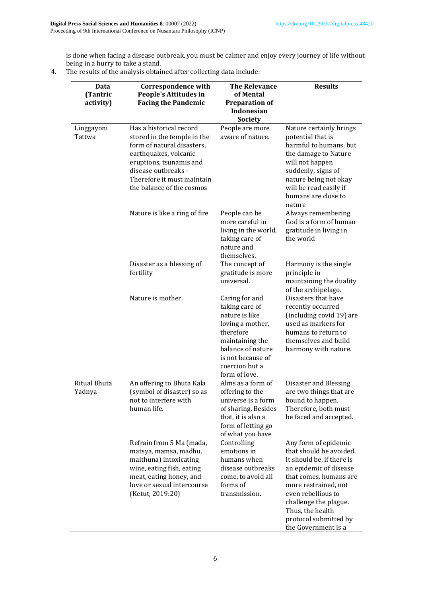is done when facing a disease outbreak, you must be calmer and enjoy every journey of life without being in a hurry to take a stand.

4. The results of the analysis obtained after collecting data include:

| Data                   | <b>Correspondence with</b>                                                                                                                                                                                                 | <b>The Relevance</b>                                                                                                                                                                | <b>Results</b>                                                                                                                                                                                                                                                              |
|------------------------|----------------------------------------------------------------------------------------------------------------------------------------------------------------------------------------------------------------------------|-------------------------------------------------------------------------------------------------------------------------------------------------------------------------------------|-----------------------------------------------------------------------------------------------------------------------------------------------------------------------------------------------------------------------------------------------------------------------------|
| (Tantric<br>activity)  | People's Attitudes in<br><b>Facing the Pandemic</b>                                                                                                                                                                        | of Mental<br><b>Preparation of</b><br>Indonesian<br><b>Society</b>                                                                                                                  |                                                                                                                                                                                                                                                                             |
| Linggayoni<br>Tattwa   | Has a historical record<br>stored in the temple in the<br>form of natural disasters,<br>earthquakes, volcanic<br>eruptions, tsunamis and<br>disease outbreaks -<br>Therefore it must maintain<br>the balance of the cosmos | People are more<br>aware of nature.                                                                                                                                                 | Nature certainly brings<br>potential that is<br>harmful to humans, but<br>the damage to Nature<br>will not happen<br>suddenly, signs of<br>nature being not okay<br>will be read easily if<br>humans are close to<br>nature                                                 |
|                        | Nature is like a ring of fire                                                                                                                                                                                              | People can be<br>more careful in<br>living in the world,<br>taking care of<br>nature and<br>themselves.                                                                             | Always remembering<br>God is a form of human<br>gratitude in living in<br>the world                                                                                                                                                                                         |
|                        | Disaster as a blessing of<br>fertility                                                                                                                                                                                     | The concept of<br>gratitude is more<br>universal.                                                                                                                                   | Harmony is the single<br>principle in<br>maintaining the duality<br>of the archipelago.                                                                                                                                                                                     |
|                        | Nature is mother.                                                                                                                                                                                                          | Caring for and<br>taking care of<br>nature is like<br>loving a mother,<br>therefore<br>maintaining the<br>balance of nature<br>is not because of<br>coercion but a<br>form of love. | Disasters that have<br>recently occurred<br>(including covid 19) are<br>used as markers for<br>humans to return to<br>themselves and build<br>harmony with nature.                                                                                                          |
| Ritual Bhuta<br>Yadnya | An offering to Bhuta Kala<br>(symbol of disaster) so as<br>not to interfere with<br>human life.                                                                                                                            | Alms as a form of<br>offering to the<br>universe is a form<br>of sharing. Besides<br>that, it is also a<br>form of letting go<br>of what you have                                   | Disaster and Blessing<br>are two things that are<br>bound to happen.<br>Therefore, both must<br>be faced and accepted.                                                                                                                                                      |
|                        | Refrain from 5 Ma (mada,<br>matsya, mamsa, madhu,<br>maithuna) intoxicating<br>wine, eating fish, eating<br>meat, eating honey, and<br>love or sexual intercourse<br>(Ketut, 2019:20)                                      | Controlling<br>emotions in<br>humans when<br>disease outbreaks<br>come, to avoid all<br>forms of<br>transmission.                                                                   | Any form of epidemic<br>that should be avoided.<br>It should be, if there is<br>an epidemic of disease<br>that comes, humans are<br>more restrained, not<br>even rebellious to<br>challenge the plague.<br>Thus, the health<br>protocol submitted by<br>the Government is a |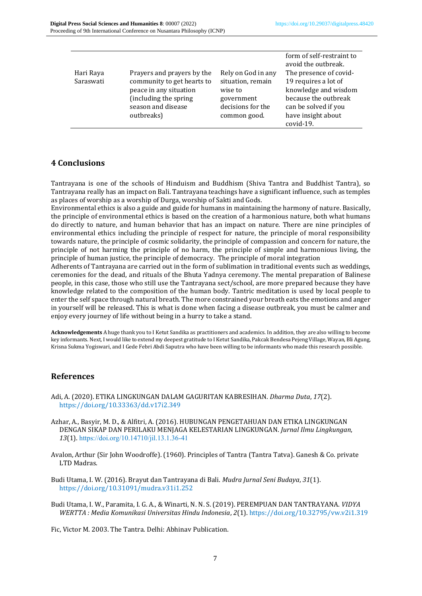| Hari Raya<br>Saraswati | Prayers and prayers by the<br>community to get hearts to<br>peace in any situation<br>(including the spring<br>season and disease<br>outbreaks) | Rely on God in any<br>situation, remain<br>wise to<br>government<br>decisions for the<br>common good. | form of self-restraint to<br>avoid the outbreak.<br>The presence of covid-<br>19 requires a lot of<br>knowledge and wisdom<br>because the outbreak<br>can be solved if you<br>have insight about<br>covid-19. |
|------------------------|-------------------------------------------------------------------------------------------------------------------------------------------------|-------------------------------------------------------------------------------------------------------|---------------------------------------------------------------------------------------------------------------------------------------------------------------------------------------------------------------|
|------------------------|-------------------------------------------------------------------------------------------------------------------------------------------------|-------------------------------------------------------------------------------------------------------|---------------------------------------------------------------------------------------------------------------------------------------------------------------------------------------------------------------|

## **4 Conclusions**

Tantrayana is one of the schools of Hinduism and Buddhism (Shiva Tantra and Buddhist Tantra), so Tantrayana really has an impact on Bali. Tantrayana teachings have a significant influence, such as temples as places of worship as a worship of Durga, worship of Sakti and Gods.

Environmental ethics is also a guide and guide for humans in maintaining the harmony of nature. Basically, the principle of environmental ethics is based on the creation of a harmonious nature, both what humans do directly to nature, and human behavior that has an impact on nature. There are nine principles of environmental ethics including the principle of respect for nature, the principle of moral responsibility towards nature, the principle of cosmic solidarity, the principle of compassion and concern for nature, the principle of not harming the principle of no harm, the principle of simple and harmonious living, the principle of human justice, the principle of democracy. The principle of moral integration

Adherents of Tantrayana are carried out in the form of sublimation in traditional events such as weddings, ceremonies for the dead, and rituals of the Bhuta Yadnya ceremony. The mental preparation of Balinese people, in this case, those who still use the Tantrayana sect/school, are more prepared because they have knowledge related to the composition of the human body. Tantric meditation is used by local people to enter the self space through natural breath. The more constrained your breath eats the emotions and anger in yourself will be released. This is what is done when facing a disease outbreak, you must be calmer and enjoy every journey of life without being in a hurry to take a stand.

**Acknowledgements** A huge thank you to I Ketut Sandika as practitioners and academics. In addition, they are also willing to become key informants. Next, I would like to extend my deepest gratitude to I Ketut Sandika, Pakcak Bendesa Pejeng Village, Wayan, Bli Agung, Krisna Sukma Yogiswari, and I Gede Febri Abdi Saputra who have been willing to be informants who made this research possible.

### **References**

- Adi, A. (2020). ETIKA LINGKUNGAN DALAM GAGURITAN KABRESIHAN. *Dharma Duta*, *17*(2). https://doi.org/10.33363/dd.v17i2.349
- Azhar, A., Basyir, M. D., & Alfitri, A. (2016). HUBUNGAN PENGETAHUAN DAN ETIKA LINGKUNGAN DENGAN SIKAP DAN PERILAKU MENJAGA KELESTARIAN LINGKUNGAN. *Jurnal Ilmu Lingkungan*, *13*(1). https://doi.org/10.14710/jil.13.1.36-41
- Avalon, Arthur (Sir John Woodroffe). (1960). Principles of Tantra (Tantra Tatva). Ganesh & Co. private LTD Madras.
- Budi Utama, I. W. (2016). Brayut dan Tantrayana di Bali. *Mudra Jurnal Seni Budaya*, *31*(1). https://doi.org/10.31091/mudra.v31i1.252
- Budi Utama, I. W., Paramita, I. G. A., & Winarti, N. N. S. (2019). PEREMPUAN DAN TANTRAYANA. *VIDYA WERTTA : Media Komunikasi Universitas Hindu Indonesia*, *2*(1). https://doi.org/10.32795/vw.v2i1.319

Fic, Victor M. 2003. The Tantra. Delhi: Abhinav Publication.